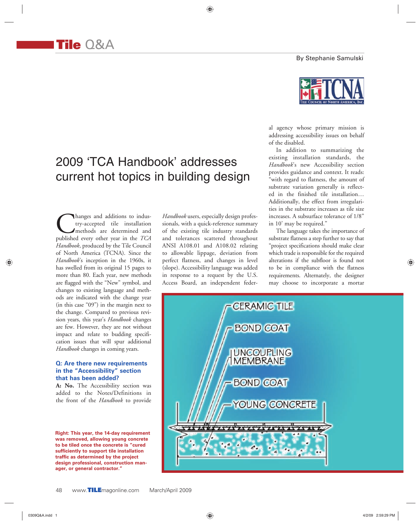By Stephanie Samulski



# 2009 'TCA Handbook' addresses current hot topics in building design

**C**hanges and additions to industry-accepted tile installation<br>methods are determined and published every other year in the *TCA* try-accepted tile installation methods are determined and *Handbook*, produced by the Tile Council of North America (TCNA). Since the *Handbook*'s inception in the 1960s, it has swelled from its original 15 pages to more than 80. Each year, new methods are flagged with the "New" symbol, and changes to existing language and methods are indicated with the change year (in this case "09") in the margin next to the change. Compared to previous revision years, this year's *Handbook* changes are few. However, they are not without impact and relate to budding specification issues that will spur additional *Handbook* changes in coming years.

## **Q: Are there new requirements in the "Accessibility" section that has been added?**

**A: No.** The Accessibility section was added to the Notes/Definitions in the front of the *Handbook* to provide

**Right: This year, the 14-day requirement was removed, allowing young concrete to be tiled once the concrete is "cured sufficiently to support tile installation traffic as determined by the project design professional, construction manager, or general contractor."**

*Handbook* users, especially design professionals, with a quick-reference summary of the existing tile industry standards and tolerances scattered throughout ANSI A108.01 and A108.02 relating to allowable lippage, deviation from perfect flatness, and changes in level (slope). Accessibility language was added in response to a request by the U.S. Access Board, an independent feder-

♠

al agency whose primary mission is addressing accessibility issues on behalf of the disabled.

In addition to summarizing the existing installation standards, the *Handbook*'s new Accessibility section provides guidance and context. It reads: "with regard to flatness, the amount of substrate variation generally is reflected in the finished tile installation… Additionally, the effect from irregularities in the substrate increases as tile size increases. A subsurface tolerance of 1/8" in 10' may be required."

The language takes the importance of substrate flatness a step further to say that "project specifications should make clear which trade is responsible for the required alterations if the subfloor is found not to be in compliance with the flatness requirements. Alternately, the designer may choose to incorporate a mortar



◈

♠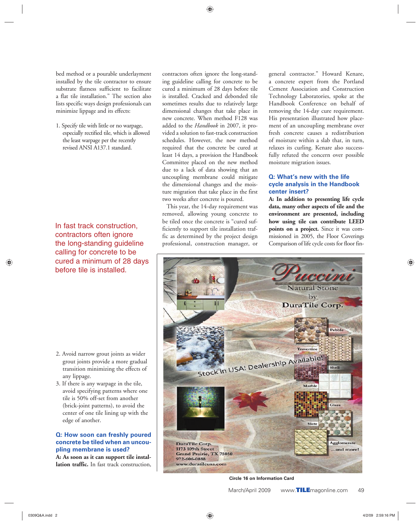⊕

bed method or a pourable underlayment installed by the tile contractor to ensure substrate flatness sufficient to facilitate a flat tile installation." The section also lists specific ways design professionals can minimize lippage and its effects:

1. Specify tile with little or no warpage, especially rectified tile, which is allowed the least warpage per the recently revised ANSI A137.1 standard.

In fast track construction, contractors often ignore the long-standing guideline calling for concrete to be cured a minimum of 28 days before tile is installed.

- 2. Avoid narrow grout joints as wider grout joints provide a more gradual transition minimizing the effects of any lippage.
- 3. If there is any warpage in the tile, avoid specifying patterns where one tile is 50% off-set from another (brick-joint patterns), to avoid the center of one tile lining up with the edge of another.

**Q: How soon can freshly poured concrete be tiled when an uncoupling membrane is used?**

**A: As soon as it can support tile installation traffic.** In fast track construction, contractors often ignore the long-standing guideline calling for concrete to be cured a minimum of 28 days before tile is installed. Cracked and debonded tile sometimes results due to relatively large dimensional changes that take place in new concrete. When method F128 was added to the *Handbook* in 2007, it provided a solution to fast-track construction schedules. However, the new method required that the concrete be cured at least 14 days, a provision the Handbook Committee placed on the new method due to a lack of data showing that an uncoupling membrane could mitigate the dimensional changes and the moisture migration that take place in the first two weeks after concrete is poured.

This year, the 14-day requirement was removed, allowing young concrete to be tiled once the concrete is "cured sufficiently to support tile installation traffic as determined by the project design professional, construction manager, or general contractor." Howard Kenare, a concrete expert from the Portland Cement Association and Construction Technology Laboratories, spoke at the Handbook Conference on behalf of removing the 14-day cure requirement. His presentation illustrated how placement of an uncoupling membrane over fresh concrete causes a redistribution of moisture within a slab that, in turn, relaxes its curling. Kenare also successfully refuted the concern over possible moisture migration issues.

## **Q: What's new with the life cycle analysis in the Handbook center insert?**

**A: In addition to presenting life cycle data, many other aspects of tile and the environment are presented, including how using tile can contribute LEED points on a project.** Since it was commissioned in 2005, the Floor Coverings Comparison of life cycle costs for floor fin-



**Circle 16 on Information Card**

March/April 2009 www.**TILE**magonline.com 49

⊕